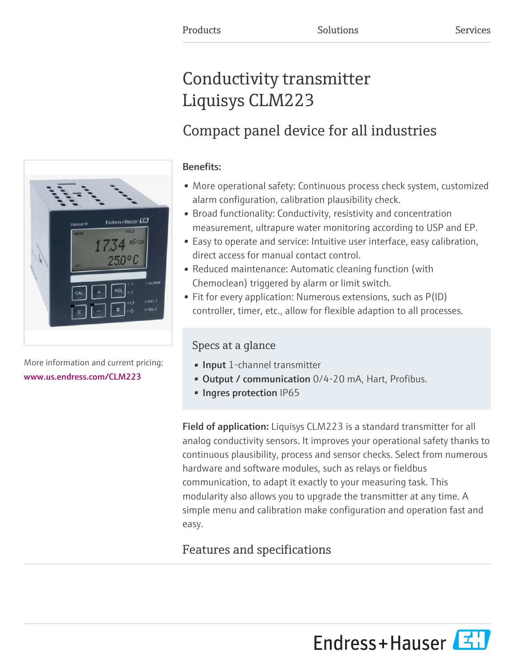# Conductivity transmitter Liquisys CLM223

# Compact panel device for all industries

### Benefits:

- More operational safety: Continuous process check system, customized alarm configuration, calibration plausibility check.
- Broad functionality: Conductivity, resistivity and concentration measurement, ultrapure water monitoring according to USP and EP.
- Easy to operate and service: Intuitive user interface, easy calibration, direct access for manual contact control.
- Reduced maintenance: Automatic cleaning function (with Chemoclean) triggered by alarm or limit switch.
- Fit for every application: Numerous extensions, such as P(ID) controller, timer, etc., allow for flexible adaption to all processes.

### Specs at a glance

- Input 1-channel transmitter
- Output / communication 0/4-20 mA, Hart, Profibus.
- Ingres protection IP65

Field of application: Liquisys CLM223 is a standard transmitter for all analog conductivity sensors. It improves your operational safety thanks to continuous plausibility, process and sensor checks. Select from numerous hardware and software modules, such as relays or fieldbus communication, to adapt it exactly to your measuring task. This modularity also allows you to upgrade the transmitter at any time. A simple menu and calibration make configuration and operation fast and easy.

## Features and specifications

Endress+Hauser



More information and current pricing: [www.us.endress.com/CLM223](https://www.us.endress.com/CLM223)